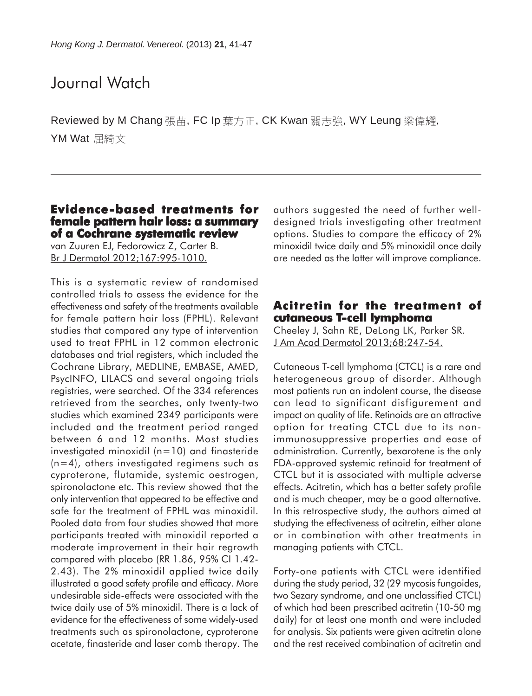# Journal Watch

Reviewed by M Chang 張苗, FC Ip 葉方正, CK Kwan 關志強, WY Leung 梁偉耀, YM Wat 屈綺文

#### **Evidence-based treatments for female pattern hair loss: a summary of a Cochrane systematic review**

van Zuuren EJ, Fedorowicz Z, Carter B. Br J Dermatol 2012;167:995-1010.

This is a systematic review of randomised controlled trials to assess the evidence for the effectiveness and safety of the treatments available for female pattern hair loss (FPHL). Relevant studies that compared any type of intervention used to treat FPHL in 12 common electronic databases and trial registers, which included the Cochrane Library, MEDLINE, EMBASE, AMED, PsycINFO, LILACS and several ongoing trials registries, were searched. Of the 334 references retrieved from the searches, only twenty-two studies which examined 2349 participants were included and the treatment period ranged between 6 and 12 months. Most studies investigated minoxidil (n=10) and finasteride (n=4), others investigated regimens such as cyproterone, flutamide, systemic oestrogen, spironolactone etc. This review showed that the only intervention that appeared to be effective and safe for the treatment of FPHL was minoxidil. Pooled data from four studies showed that more participants treated with minoxidil reported a moderate improvement in their hair regrowth compared with placebo (RR 1.86, 95% CI 1.42- 2.43). The 2% minoxidil applied twice daily illustrated a good safety profile and efficacy. More undesirable side-effects were associated with the twice daily use of 5% minoxidil. There is a lack of evidence for the effectiveness of some widely-used treatments such as spironolactone, cyproterone acetate, finasteride and laser comb therapy. The

authors suggested the need of further welldesigned trials investigating other treatment options. Studies to compare the efficacy of 2% minoxidil twice daily and 5% minoxidil once daily are needed as the latter will improve compliance.

#### **Acitretin for the treatment of for treatment of cutaneous T-cell lymphoma**

Cheeley J, Sahn RE, DeLong LK, Parker SR. J Am Acad Dermatol 2013;68:247-54.

Cutaneous T-cell lymphoma (CTCL) is a rare and heterogeneous group of disorder. Although most patients run an indolent course, the disease can lead to significant disfigurement and impact on quality of life. Retinoids are an attractive option for treating CTCL due to its nonimmunosuppressive properties and ease of administration. Currently, bexarotene is the only FDA-approved systemic retinoid for treatment of CTCL but it is associated with multiple adverse effects. Acitretin, which has a better safety profile and is much cheaper, may be a good alternative. In this retrospective study, the authors aimed at studying the effectiveness of acitretin, either alone or in combination with other treatments in managing patients with CTCL.

Forty-one patients with CTCL were identified during the study period, 32 (29 mycosis fungoides, two Sezary syndrome, and one unclassified CTCL) of which had been prescribed acitretin (10-50 mg daily) for at least one month and were included for analysis. Six patients were given acitretin alone and the rest received combination of acitretin and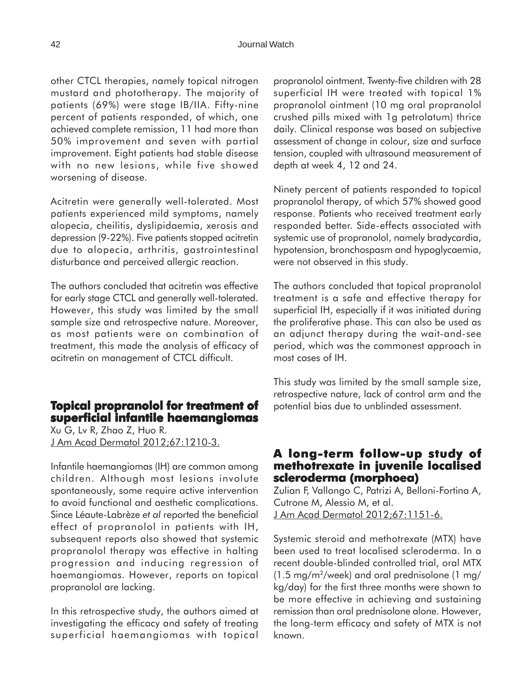other CTCL therapies, namely topical nitrogen mustard and phototherapy. The majority of patients (69%) were stage IB/IIA. Fifty-nine percent of patients responded, of which, one achieved complete remission, 11 had more than 50% improvement and seven with partial improvement. Eight patients had stable disease with no new lesions, while five showed worsening of disease.

Acitretin were generally well-tolerated. Most patients experienced mild symptoms, namely alopecia, cheilitis, dyslipidaemia, xerosis and depression (9-22%). Five patients stopped acitretin due to alopecia, arthritis, gastrointestinal disturbance and perceived allergic reaction.

The authors concluded that acitretin was effective for early stage CTCL and generally well-tolerated. However, this study was limited by the small sample size and retrospective nature. Moreover, as most patients were on combination of treatment, this made the analysis of efficacy of acitretin on management of CTCL difficult.

## **Topical propranolol for treatment of opical propranolol for treatment of superficial infantile haemangiomas**

Xu G, Lv R, Zhao Z, Huo R. J Am Acad Dermatol 2012;67:1210-3.

Infantile haemangiomas (IH) are common among children. Although most lesions involute spontaneously, some require active intervention to avoid functional and aesthetic complications. Since Léaute-Labrèze *et al* reported the beneficial effect of propranolol in patients with IH, subsequent reports also showed that systemic propranolol therapy was effective in halting progression and inducing regression of haemangiomas. However, reports on topical propranolol are lacking.

In this retrospective study, the authors aimed at investigating the efficacy and safety of treating superficial haemangiomas with topical propranolol ointment. Twenty-five children with 28 superficial IH were treated with topical 1% propranolol ointment (10 mg oral propranolol crushed pills mixed with 1g petrolatum) thrice daily. Clinical response was based on subjective assessment of change in colour, size and surface tension, coupled with ultrasound measurement of depth at week 4, 12 and 24.

Ninety percent of patients responded to topical propranolol therapy, of which 57% showed good response. Patients who received treatment early responded better. Side-effects associated with systemic use of propranolol, namely bradycardia, hypotension, bronchospasm and hypoglycaemia, were not observed in this study.

The authors concluded that topical propranolol treatment is a safe and effective therapy for superficial IH, especially if it was initiated during the proliferative phase. This can also be used as an adjunct therapy during the wait-and-see period, which was the commonest approach in most cases of IH.

This study was limited by the small sample size, retrospective nature, lack of control arm and the potential bias due to unblinded assessment.

#### **A long-term follow-up study of -up study of methotrexate in juvenile localised scleroderma (morphoea) scleroderma (morphoea)**

Zulian F, Vallongo C, Patrizi A, Belloni-Fortina A, Cutrone M, Alessio M, et al. J Am Acad Dermatol 2012;67:1151-6.

Systemic steroid and methotrexate (MTX) have been used to treat localised scleroderma. In a recent double-blinded controlled trial, oral MTX (1.5 mg/m2/week) and oral prednisolone (1 mg/ kg/day) for the first three months were shown to be more effective in achieving and sustaining remission than oral prednisolone alone. However, the long-term efficacy and safety of MTX is not known.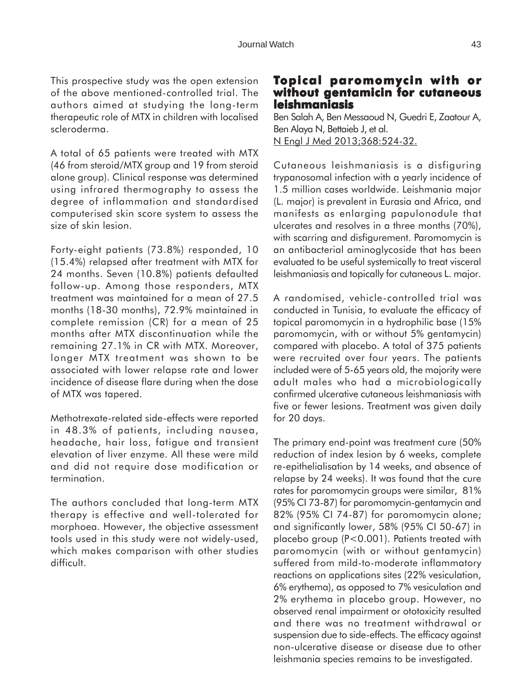This prospective study was the open extension of the above mentioned-controlled trial. The authors aimed at studying the long-term therapeutic role of MTX in children with localised scleroderma.

A total of 65 patients were treated with MTX (46 from steroid/MTX group and 19 from steroid alone group). Clinical response was determined using infrared thermography to assess the degree of inflammation and standardised computerised skin score system to assess the size of skin lesion.

Forty-eight patients (73.8%) responded, 10 (15.4%) relapsed after treatment with MTX for 24 months. Seven (10.8%) patients defaulted follow-up. Among those responders, MTX treatment was maintained for a mean of 27.5 months (18-30 months), 72.9% maintained in complete remission (CR) for a mean of 25 months after MTX discontinuation while the remaining 27.1% in CR with MTX. Moreover, longer MTX treatment was shown to be associated with lower relapse rate and lower incidence of disease flare during when the dose of MTX was tapered.

Methotrexate-related side-effects were reported in 48.3% of patients, including nausea, headache, hair loss, fatigue and transient elevation of liver enzyme. All these were mild and did not require dose modification or termination.

The authors concluded that long-term MTX therapy is effective and well-tolerated for morphoea. However, the objective assessment tools used in this study were not widely-used, which makes comparison with other studies difficult.

## **Topical paromomycin with or without gentamicin for cutaneous leishmaniasis**

Ben Salah A, Ben Messaoud N, Guedri E, Zaatour A, Ben Alaya N, Bettaieb J, et al. N Engl J Med 2013;368:524-32.

Cutaneous leishmaniasis is a disfiguring trypanosomal infection with a yearly incidence of 1.5 million cases worldwide. Leishmania major (L. major) is prevalent in Eurasia and Africa, and manifests as enlarging papulonodule that ulcerates and resolves in a three months (70%), with scarring and disfigurement. Paromomycin is an antibacterial aminoglycoside that has been evaluated to be useful systemically to treat visceral leishmaniasis and topically for cutaneous L. major.

A randomised, vehicle-controlled trial was conducted in Tunisia, to evaluate the efficacy of topical paromomycin in a hydrophilic base (15% paromomycin, with or without 5% gentamycin) compared with placebo. A total of 375 patients were recruited over four years. The patients included were of 5-65 years old, the majority were adult males who had a microbiologically confirmed ulcerative cutaneous leishmaniasis with five or fewer lesions. Treatment was given daily for 20 days.

The primary end-point was treatment cure (50% reduction of index lesion by 6 weeks, complete re-epithelialisation by 14 weeks, and absence of relapse by 24 weeks). It was found that the cure rates for paromomycin groups were similar, 81% (95% CI 73-87) for paromomycin-gentamycin and 82% (95% CI 74-87) for paromomycin alone; and significantly lower, 58% (95% CI 50-67) in placebo group (P<0.001). Patients treated with paromomycin (with or without gentamycin) suffered from mild-to-moderate inflammatory reactions on applications sites (22% vesiculation, 6% erythema), as opposed to 7% vesiculation and 2% erythema in placebo group. However, no observed renal impairment or ototoxicity resulted and there was no treatment withdrawal or suspension due to side-effects. The efficacy against non-ulcerative disease or disease due to other leishmania species remains to be investigated.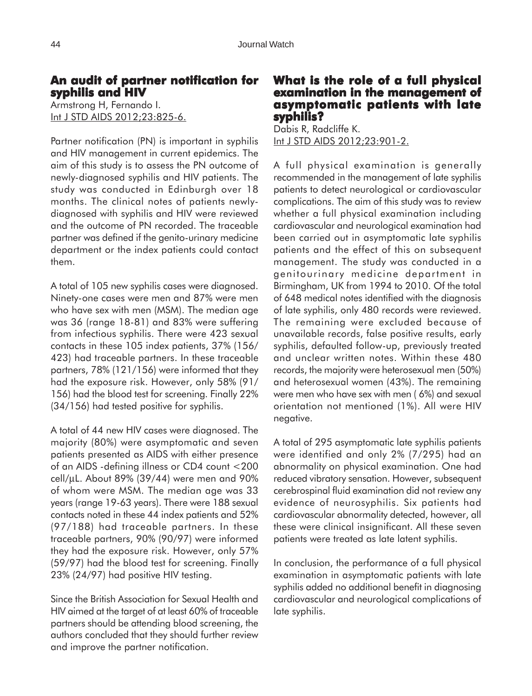## **An audit of partner notification for syphilis and HIV**

Armstrong H, Fernando I. Int J STD AIDS 2012;23:825-6.

Partner notification (PN) is important in syphilis and HIV management in current epidemics. The aim of this study is to assess the PN outcome of newly-diagnosed syphilis and HIV patients. The study was conducted in Edinburgh over 18 months. The clinical notes of patients newlydiagnosed with syphilis and HIV were reviewed and the outcome of PN recorded. The traceable partner was defined if the genito-urinary medicine department or the index patients could contact them.

A total of 105 new syphilis cases were diagnosed. Ninety-one cases were men and 87% were men who have sex with men (MSM). The median age was 36 (range 18-81) and 83% were suffering from infectious syphilis. There were 423 sexual contacts in these 105 index patients, 37% (156/ 423) had traceable partners. In these traceable partners, 78% (121/156) were informed that they had the exposure risk. However, only 58% (91/ 156) had the blood test for screening. Finally 22% (34/156) had tested positive for syphilis.

A total of 44 new HIV cases were diagnosed. The majority (80%) were asymptomatic and seven patients presented as AIDS with either presence of an AIDS -defining illness or CD4 count <200 cell/µL. About 89% (39/44) were men and 90% of whom were MSM. The median age was 33 years (range 19-63 years). There were 188 sexual contacts noted in these 44 index patients and 52% (97/188) had traceable partners. In these traceable partners, 90% (90/97) were informed they had the exposure risk. However, only 57% (59/97) had the blood test for screening. Finally 23% (24/97) had positive HIV testing.

Since the British Association for Sexual Health and HIV aimed at the target of at least 60% of traceable partners should be attending blood screening, the authors concluded that they should further review and improve the partner notification.

## **What is the role of a full physical the role of a full physical examination in the management of xamination of asymptomatic patients with late syphilis?**

Dabis R, Radcliffe K. Int J STD AIDS 2012;23:901-2.

A full physical examination is generally recommended in the management of late syphilis patients to detect neurological or cardiovascular complications. The aim of this study was to review whether a full physical examination including cardiovascular and neurological examination had been carried out in asymptomatic late syphilis patients and the effect of this on subsequent management. The study was conducted in a genitourinary medicine department in Birmingham, UK from 1994 to 2010. Of the total of 648 medical notes identified with the diagnosis of late syphilis, only 480 records were reviewed. The remaining were excluded because of unavailable records, false positive results, early syphilis, defaulted follow-up, previously treated and unclear written notes. Within these 480 records, the majority were heterosexual men (50%) and heterosexual women (43%). The remaining were men who have sex with men ( 6%) and sexual orientation not mentioned (1%). All were HIV negative.

A total of 295 asymptomatic late syphilis patients were identified and only 2% (7/295) had an abnormality on physical examination. One had reduced vibratory sensation. However, subsequent cerebrospinal fluid examination did not review any evidence of neurosyphilis. Six patients had cardiovascular abnormality detected, however, all these were clinical insignificant. All these seven patients were treated as late latent syphilis.

In conclusion, the performance of a full physical examination in asymptomatic patients with late syphilis added no additional benefit in diagnosing cardiovascular and neurological complications of late syphilis.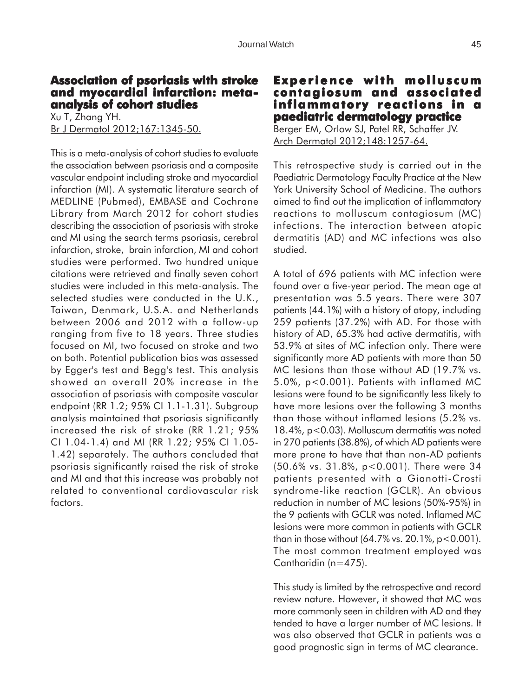#### **Association of psoriasis with stroke and myocardial infarction: metaanalysis of cohort studies**

Xu T, Zhang YH. Br J Dermatol 2012;167:1345-50.

This is a meta-analysis of cohort studies to evaluate the association between psoriasis and a composite vascular endpoint including stroke and myocardial infarction (MI). A systematic literature search of MEDLINE (Pubmed), EMBASE and Cochrane Library from March 2012 for cohort studies describing the association of psoriasis with stroke and MI using the search terms psoriasis, cerebral infarction, stroke, brain infarction, MI and cohort studies were performed. Two hundred unique citations were retrieved and finally seven cohort studies were included in this meta-analysis. The selected studies were conducted in the U.K., Taiwan, Denmark, U.S.A. and Netherlands between 2006 and 2012 with a follow-up ranging from five to 18 years. Three studies focused on MI, two focused on stroke and two on both. Potential publication bias was assessed by Egger's test and Begg's test. This analysis showed an overall 20% increase in the association of psoriasis with composite vascular endpoint (RR 1.2; 95% CI 1.1-1.31). Subgroup analysis maintained that psoriasis significantly increased the risk of stroke (RR 1.21; 95% CI 1.04-1.4) and MI (RR 1.22; 95% CI 1.05- 1.42) separately. The authors concluded that psoriasis significantly raised the risk of stroke and MI and that this increase was probably not related to conventional cardiovascular risk factors.

## **Experience with molluscum contagiosum and associated inflammatory reactions in a paediatric dermatology practice**

Berger EM, Orlow SJ, Patel RR, Schaffer JV. Arch Dermatol 2012;148:1257-64.

This retrospective study is carried out in the Paediatric Dermatology Faculty Practice at the New York University School of Medicine. The authors aimed to find out the implication of inflammatory reactions to molluscum contagiosum (MC) infections. The interaction between atopic dermatitis (AD) and MC infections was also studied.

A total of 696 patients with MC infection were found over a five-year period. The mean age at presentation was 5.5 years. There were 307 patients (44.1%) with a history of atopy, including 259 patients (37.2%) with AD. For those with history of AD, 65.3% had active dermatitis, with 53.9% at sites of MC infection only. There were significantly more AD patients with more than 50 MC lesions than those without AD (19.7% vs. 5.0%, p<0.001). Patients with inflamed MC lesions were found to be significantly less likely to have more lesions over the following 3 months than those without inflamed lesions (5.2% vs. 18.4%, p<0.03). Molluscum dermatitis was noted in 270 patients (38.8%), of which AD patients were more prone to have that than non-AD patients (50.6% vs. 31.8%, p<0.001). There were 34 patients presented with a Gianotti-Crosti syndrome-like reaction (GCLR). An obvious reduction in number of MC lesions (50%-95%) in the 9 patients with GCLR was noted. Inflamed MC lesions were more common in patients with GCLR than in those without  $(64.7\% \text{ vs. } 20.1\%, \text{ p} < 0.001)$ . The most common treatment employed was Cantharidin (n=475).

This study is limited by the retrospective and record review nature. However, it showed that MC was more commonly seen in children with AD and they tended to have a larger number of MC lesions. It was also observed that GCLR in patients was a good prognostic sign in terms of MC clearance.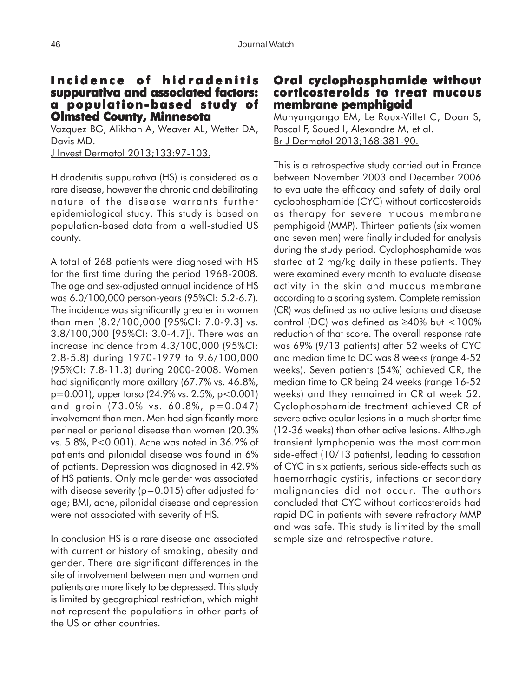### **Incidence of hidradenitis suppurativa and associated factors: and associated a population-based study of population-based study Olmsted County, Minnesota**

Vazquez BG, Alikhan A, Weaver AL, Wetter DA, Davis MD.

J Invest Dermatol 2013;133:97-103.

Hidradenitis suppurativa (HS) is considered as a rare disease, however the chronic and debilitating nature of the disease warrants further epidemiological study. This study is based on population-based data from a well-studied US county.

A total of 268 patients were diagnosed with HS for the first time during the period 1968-2008. The age and sex-adjusted annual incidence of HS was 6.0/100,000 person-years (95%CI: 5.2-6.7). The incidence was significantly greater in women than men (8.2/100,000 [95%CI: 7.0-9.3] vs. 3.8/100,000 [95%CI: 3.0-4.7]). There was an increase incidence from 4.3/100,000 (95%CI: 2.8-5.8) during 1970-1979 to 9.6/100,000 (95%CI: 7.8-11.3) during 2000-2008. Women had significantly more axillary (67.7% vs. 46.8%, p=0.001), upper torso (24.9% vs. 2.5%, p<0.001) and groin (73.0% vs. 60.8%, p=0.047) involvement than men. Men had significantly more perineal or perianal disease than women (20.3% vs. 5.8%, P<0.001). Acne was noted in 36.2% of patients and pilonidal disease was found in 6% of patients. Depression was diagnosed in 42.9% of HS patients. Only male gender was associated with disease severity ( $p=0.015$ ) after adjusted for age; BMI, acne, pilonidal disease and depression were not associated with severity of HS.

In conclusion HS is a rare disease and associated with current or history of smoking, obesity and gender. There are significant differences in the site of involvement between men and women and patients are more likely to be depressed. This study is limited by geographical restriction, which might not represent the populations in other parts of the US or other countries.

#### **Oral cyclophosphamide without cyclophosphamide without corticosteroids to treat mucous membrane pemphigoid**

Munyangango EM, Le Roux-Villet C, Doan S, Pascal F, Soued I, Alexandre M, et al. Br J Dermatol 2013;168:381-90.

This is a retrospective study carried out in France between November 2003 and December 2006 to evaluate the efficacy and safety of daily oral cyclophosphamide (CYC) without corticosteroids as therapy for severe mucous membrane pemphigoid (MMP). Thirteen patients (six women and seven men) were finally included for analysis during the study period. Cyclophosphamide was started at 2 mg/kg daily in these patients. They were examined every month to evaluate disease activity in the skin and mucous membrane according to a scoring system. Complete remission (CR) was defined as no active lesions and disease control (DC) was defined as ≥40% but <100% reduction of that score. The overall response rate was 69% (9/13 patients) after 52 weeks of CYC and median time to DC was 8 weeks (range 4-52 weeks). Seven patients (54%) achieved CR, the median time to CR being 24 weeks (range 16-52 weeks) and they remained in CR at week 52. Cyclophosphamide treatment achieved CR of severe active ocular lesions in a much shorter time (12-36 weeks) than other active lesions. Although transient lymphopenia was the most common side-effect (10/13 patients), leading to cessation of CYC in six patients, serious side-effects such as haemorrhagic cystitis, infections or secondary malignancies did not occur. The authors concluded that CYC without corticosteroids had rapid DC in patients with severe refractory MMP and was safe. This study is limited by the small sample size and retrospective nature.